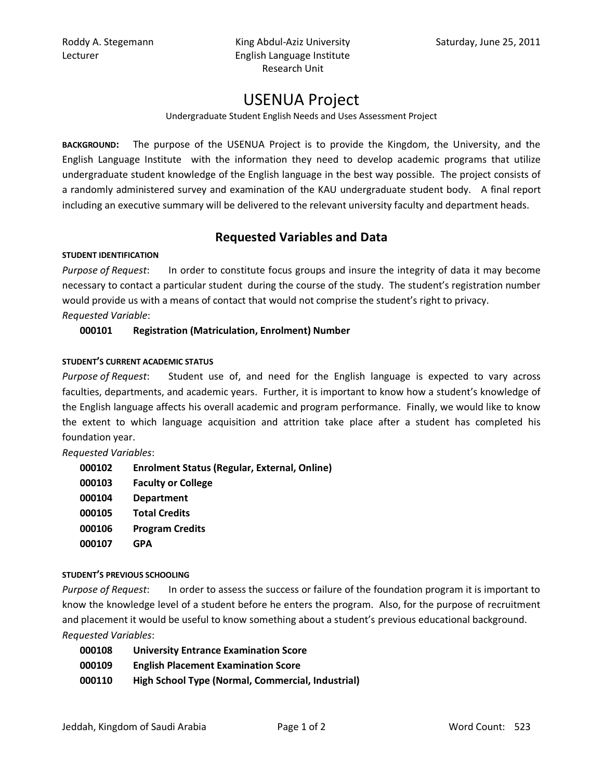Roddy A. Stegemann **King Abdul-Aziz University** Saturday, June 25, 2011 Lecturer **English Language Institute** Research Unit

# USENUA Project

Undergraduate Student English Needs and Uses Assessment Project

**BACKGROUND:** The purpose of the USENUA Project is to provide the Kingdom, the University, and the English Language Institute with the information they need to develop academic programs that utilize undergraduate student knowledge of the English language in the best way possible. The project consists of a randomly administered survey and examination of the KAU undergraduate student body. A final report including an executive summary will be delivered to the relevant university faculty and department heads.

## **Requested Variables and Data**

#### **STUDENT IDENTIFICATION**

*Purpose of Request*: In order to constitute focus groups and insure the integrity of data it may become necessary to contact a particular student during the course of the study. The student's registration number would provide us with a means of contact that would not comprise the student's right to privacy. *Requested Variable*:

### **000101 Registration (Matriculation, Enrolment) Number**

#### **STUDENT'S CURRENT ACADEMIC STATUS**

*Purpose of Request*: Student use of, and need for the English language is expected to vary across faculties, departments, and academic years. Further, it is important to know how a student's knowledge of the English language affects his overall academic and program performance. Finally, we would like to know the extent to which language acquisition and attrition take place after a student has completed his foundation year.

*Requested Variables*:

| 000102 | <b>Enrolment Status (Regular, External, Online)</b> |
|--------|-----------------------------------------------------|
| 000103 | <b>Faculty or College</b>                           |
| 000104 | <b>Department</b>                                   |
| 000105 | <b>Total Credits</b>                                |
| 000106 | <b>Program Credits</b>                              |
| 000107 | <b>GPA</b>                                          |
|        |                                                     |

#### **STUDENT'S PREVIOUS SCHOOLING**

*Purpose of Request*: In order to assess the success or failure of the foundation program it is important to know the knowledge level of a student before he enters the program. Also, for the purpose of recruitment and placement it would be useful to know something about a student's previous educational background. *Requested Variables*:

| 000108 | <b>University Entrance Examination Score</b>      |
|--------|---------------------------------------------------|
| 000109 | <b>English Placement Examination Score</b>        |
| 000110 | High School Type (Normal, Commercial, Industrial) |